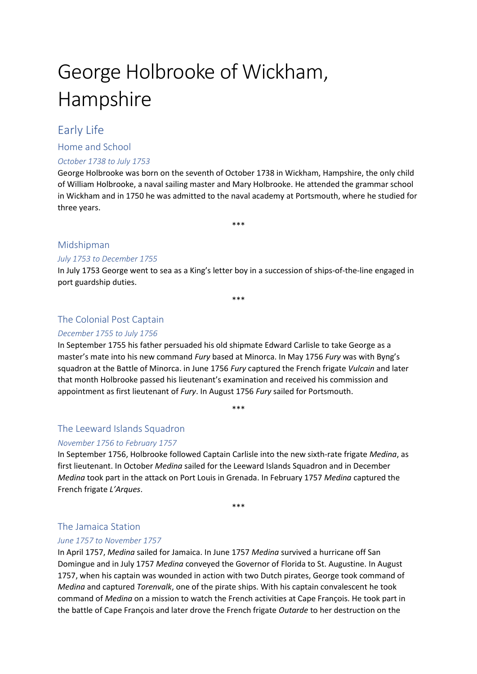# George Holbrooke of Wickham, Hampshire

## Early Life

Home and School

## *October 1738 to July 1753*

George Holbrooke was born on the seventh of October 1738 in Wickham, Hampshire, the only child of William Holbrooke, a naval sailing master and Mary Holbrooke. He attended the grammar school in Wickham and in 1750 he was admitted to the naval academy at Portsmouth, where he studied for three years.

\*\*\*

## Midshipman

## *July 1753 to December 1755*

In July 1753 George went to sea as a King's letter boy in a succession of ships-of-the-line engaged in port guardship duties.

\*\*\*

## The Colonial Post Captain

## *December 1755 to July 1756*

In September 1755 his father persuaded his old shipmate Edward Carlisle to take George as a master's mate into his new command *Fury* based at Minorca. In May 1756 *Fury* was with Byng's squadron at the Battle of Minorca. in June 1756 *Fury* captured the French frigate *Vulcain* and later that month Holbrooke passed his lieutenant's examination and received his commission and appointment as first lieutenant of *Fury*. In August 1756 *Fury* sailed for Portsmouth.

\*\*\*

## The Leeward Islands Squadron

## *November 1756 to February 1757*

In September 1756, Holbrooke followed Captain Carlisle into the new sixth-rate frigate *Medina*, as first lieutenant. In October *Medina* sailed for the Leeward Islands Squadron and in December *Medina* took part in the attack on Port Louis in Grenada. In February 1757 *Medina* captured the French frigate *L'Arques*.

\*\*\*

## The Jamaica Station

## *June 1757 to November 1757*

In April 1757, *Medina* sailed for Jamaica. In June 1757 *Medina* survived a hurricane off San Domingue and in July 1757 *Medina* conveyed the Governor of Florida to St. Augustine. In August 1757, when his captain was wounded in action with two Dutch pirates, George took command of *Medina* and captured *Torenvalk*, one of the pirate ships. With his captain convalescent he took command of *Medina* on a mission to watch the French activities at Cape François. He took part in the battle of Cape François and later drove the French frigate *Outarde* to her destruction on the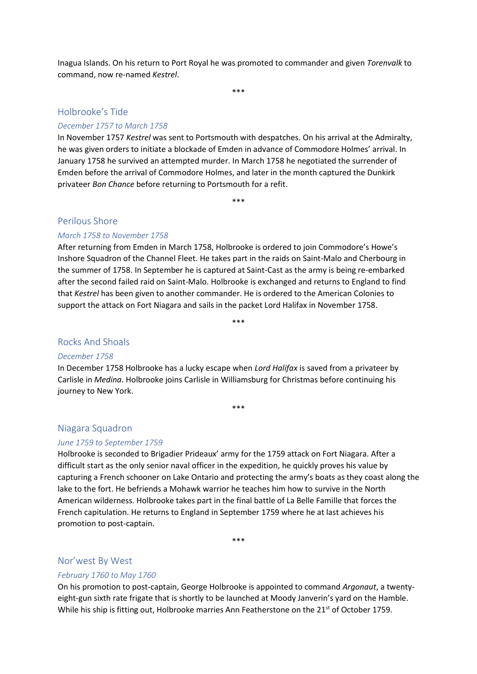Inagua Islands. On his return to Port Royal he was promoted to commander and given *Torenvalk* to command, now re-named *Kestrel*.

\*\*\*

#### Holbrooke's Tide

#### *December 1757 to March 1758*

In November 1757 *Kestrel* was sent to Portsmouth with despatches. On his arrival at the Admiralty, he was given orders to initiate a blockade of Emden in advance of Commodore Holmes' arrival. In January 1758 he survived an attempted murder. In March 1758 he negotiated the surrender of Emden before the arrival of Commodore Holmes, and later in the month captured the Dunkirk privateer *Bon Chance* before returning to Portsmouth for a refit.

\*\*\*

## Perilous Shore

#### *March 1758 to November 1758*

After returning from Emden in March 1758, Holbrooke is ordered to join Commodore's Howe's Inshore Squadron of the Channel Fleet. He takes part in the raids on Saint-Malo and Cherbourg in the summer of 1758. In September he is captured at Saint-Cast as the army is being re-embarked after the second failed raid on Saint-Malo. Holbrooke is exchanged and returns to England to find that *Kestrel* has been given to another commander. He is ordered to the American Colonies to support the attack on Fort Niagara and sails in the packet Lord Halifax in November 1758.

\*\*\*

### Rocks And Shoals

#### *December 1758*

In December 1758 Holbrooke has a lucky escape when *Lord Halifax* is saved from a privateer by Carlisle in *Medina*. Holbrooke joins Carlisle in Williamsburg for Christmas before continuing his journey to New York.

\*\*\*

## Niagara Squadron

#### *June 1759 to September 1759*

Holbrooke is seconded to Brigadier Prideaux' army for the 1759 attack on Fort Niagara. After a difficult start as the only senior naval officer in the expedition, he quickly proves his value by capturing a French schooner on Lake Ontario and protecting the army's boats as they coast along the lake to the fort. He befriends a Mohawk warrior he teaches him how to survive in the North American wilderness. Holbrooke takes part in the final battle of La Belle Famille that forces the French capitulation. He returns to England in September 1759 where he at last achieves his promotion to post-captain.

\*\*\*

#### Nor'west By West

#### *February 1760 to May 1760*

On his promotion to post-captain, George Holbrooke is appointed to command *Argonaut*, a twentyeight-gun sixth rate frigate that is shortly to be launched at Moody Janverin's yard on the Hamble. While his ship is fitting out, Holbrooke marries Ann Featherstone on the 21<sup>st</sup> of October 1759.